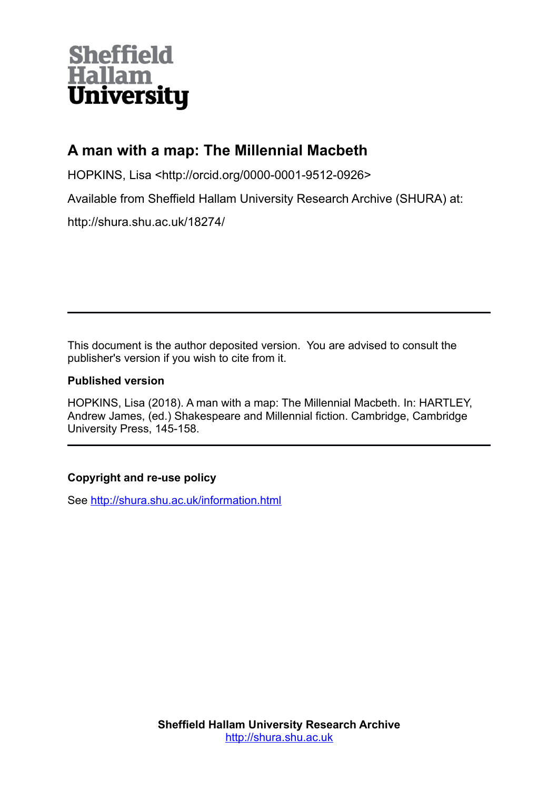# **Sheffield Hallam University**

# **A man with a map: The Millennial Macbeth**

HOPKINS, Lisa <http://orcid.org/0000-0001-9512-0926>

Available from Sheffield Hallam University Research Archive (SHURA) at:

http://shura.shu.ac.uk/18274/

This document is the author deposited version. You are advised to consult the publisher's version if you wish to cite from it.

### **Published version**

HOPKINS, Lisa (2018). A man with a map: The Millennial Macbeth. In: HARTLEY, Andrew James, (ed.) Shakespeare and Millennial fiction. Cambridge, Cambridge University Press, 145-158.

## **Copyright and re-use policy**

See<http://shura.shu.ac.uk/information.html>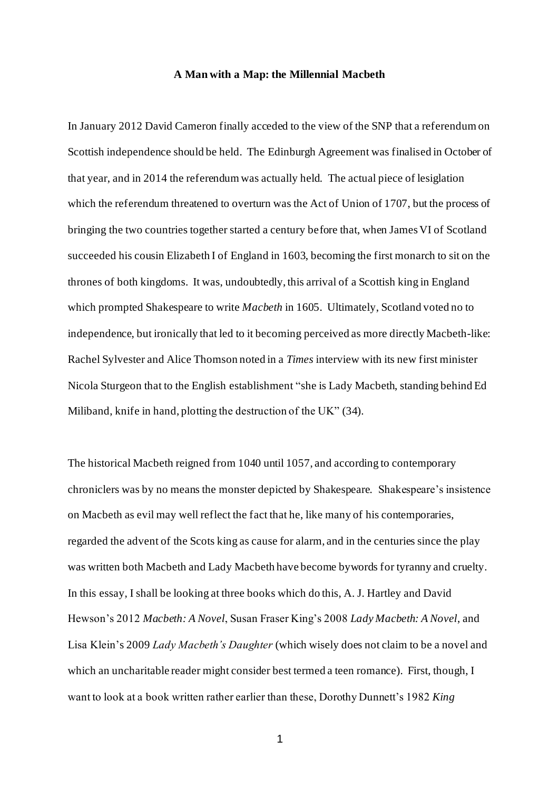#### **A Man with a Map: the Millennial Macbeth**

In January 2012 David Cameron finally acceded to the view of the SNP that a referendum on Scottish independence should be held. The Edinburgh Agreement was finalised in October of that year, and in 2014 the referendum was actually held. The actual piece of lesiglation which the referendum threatened to overturn was the Act of Union of 1707, but the process of bringing the two countries together started a century before that, when James VI of Scotland succeeded his cousin Elizabeth I of England in 1603, becoming the first monarch to sit on the thrones of both kingdoms. It was, undoubtedly, this arrival of a Scottish king in England which prompted Shakespeare to write *Macbeth* in 1605. Ultimately, Scotland voted no to independence, but ironically that led to it becoming perceived as more directly Macbeth-like: Rachel Sylvester and Alice Thomson noted in a *Times* interview with its new first minister Nicola Sturgeon that to the English establishment "she is Lady Macbeth, standing behind Ed Miliband, knife in hand, plotting the destruction of the UK" (34).

The historical Macbeth reigned from 1040 until 1057, and according to contemporary chroniclers was by no means the monster depicted by Shakespeare. Shakespeare's insistence on Macbeth as evil may well reflect the fact that he, like many of his contemporaries, regarded the advent of the Scots king as cause for alarm, and in the centuries since the play was written both Macbeth and Lady Macbeth have become bywords for tyranny and cruelty. In this essay, I shall be looking at three books which do this, A. J. Hartley and David Hewson's 2012 *Macbeth: A Novel*, Susan Fraser King's 2008 *Lady Macbeth: A Novel*, and Lisa Klein's 2009 *Lady Macbeth's Daughter* (which wisely does not claim to be a novel and which an uncharitable reader might consider best termed a teen romance). First, though, I want to look at a book written rather earlier than these, Dorothy Dunnett's 1982 *King*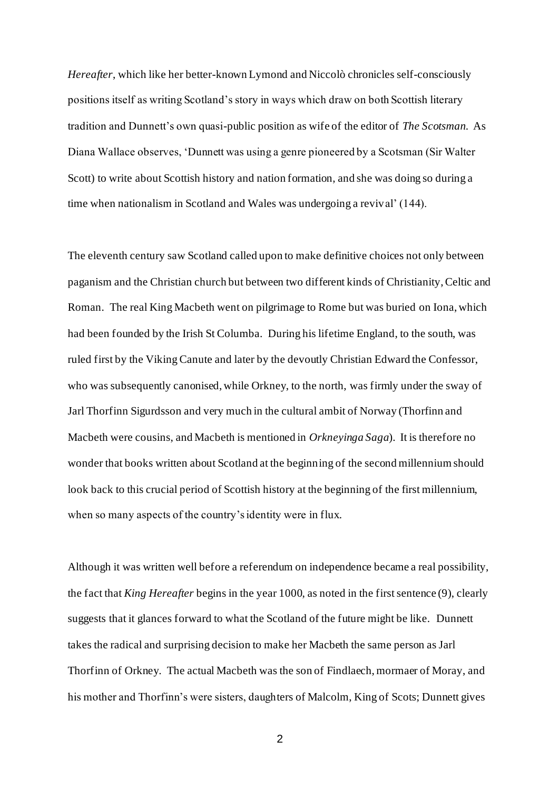*Hereafter*, which like her better-known Lymond and Niccolò chronicles self-consciously positions itself as writing Scotland's story in ways which draw on both Scottish literary tradition and Dunnett's own quasi-public position as wife of the editor of *The Scotsman*. As Diana Wallace observes, 'Dunnett was using a genre pioneered by a Scotsman (Sir Walter Scott) to write about Scottish history and nation formation, and she was doing so during a time when nationalism in Scotland and Wales was undergoing a revival' (144).

The eleventh century saw Scotland called upon to make definitive choices not only between paganism and the Christian church but between two different kinds of Christianity, Celtic and Roman. The real King Macbeth went on pilgrimage to Rome but was buried on Iona, which had been founded by the Irish St Columba. During his lifetime England, to the south, was ruled first by the Viking Canute and later by the devoutly Christian Edward the Confessor, who was subsequently canonised, while Orkney, to the north, was firmly under the sway of Jarl Thorfinn Sigurdsson and very much in the cultural ambit of Norway (Thorfinn and Macbeth were cousins, and Macbeth is mentioned in *Orkneyinga Saga*). It is therefore no wonder that books written about Scotland at the beginning of the second millennium should look back to this crucial period of Scottish history at the beginning of the first millennium, when so many aspects of the country's identity were in flux.

Although it was written well before a referendum on independence became a real possibility, the fact that *King Hereafter* begins in the year 1000, as noted in the first sentence (9), clearly suggests that it glances forward to what the Scotland of the future might be like. Dunnett takes the radical and surprising decision to make her Macbeth the same person as Jarl Thorfinn of Orkney. The actual Macbeth was the son of Findlaech, mormaer of Moray, and his mother and Thorfinn's were sisters, daughters of Malcolm, King of Scots; Dunnett gives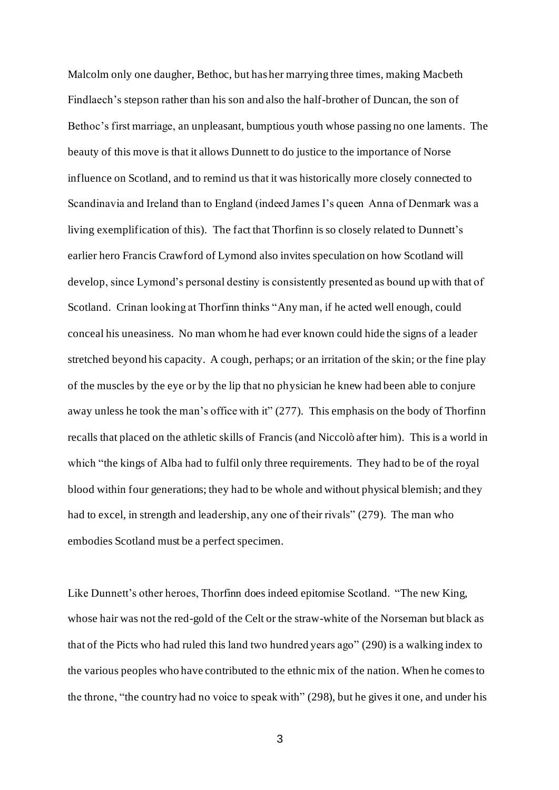Malcolm only one daugher, Bethoc, but has her marrying three times, making Macbeth Findlaech's stepson rather than his son and also the half-brother of Duncan, the son of Bethoc's first marriage, an unpleasant, bumptious youth whose passing no one laments. The beauty of this move is that it allows Dunnett to do justice to the importance of Norse influence on Scotland, and to remind us that it was historically more closely connected to Scandinavia and Ireland than to England (indeed James I's queen Anna of Denmark was a living exemplification of this). The fact that Thorfinn is so closely related to Dunnett's earlier hero Francis Crawford of Lymond also invites speculation on how Scotland will develop, since Lymond's personal destiny is consistently presented as bound up with that of Scotland. Crinan looking at Thorfinn thinks "Any man, if he acted well enough, could conceal his uneasiness. No man whom he had ever known could hide the signs of a leader stretched beyond his capacity. A cough, perhaps; or an irritation of the skin; or the fine play of the muscles by the eye or by the lip that no physician he knew had been able to conjure away unless he took the man's office with it" (277). This emphasis on the body of Thorfinn recalls that placed on the athletic skills of Francis (and Niccolò after him). This is a world in which "the kings of Alba had to fulfil only three requirements. They had to be of the royal blood within four generations; they had to be whole and without physical blemish; and they had to excel, in strength and leadership, any one of their rivals" (279). The man who embodies Scotland must be a perfect specimen.

Like Dunnett's other heroes, Thorfinn does indeed epitomise Scotland. "The new King, whose hair was not the red-gold of the Celt or the straw-white of the Norseman but black as that of the Picts who had ruled this land two hundred years ago" (290) is a walking index to the various peoples who have contributed to the ethnic mix of the nation. When he comes to the throne, "the country had no voice to speak with" (298), but he gives it one, and under his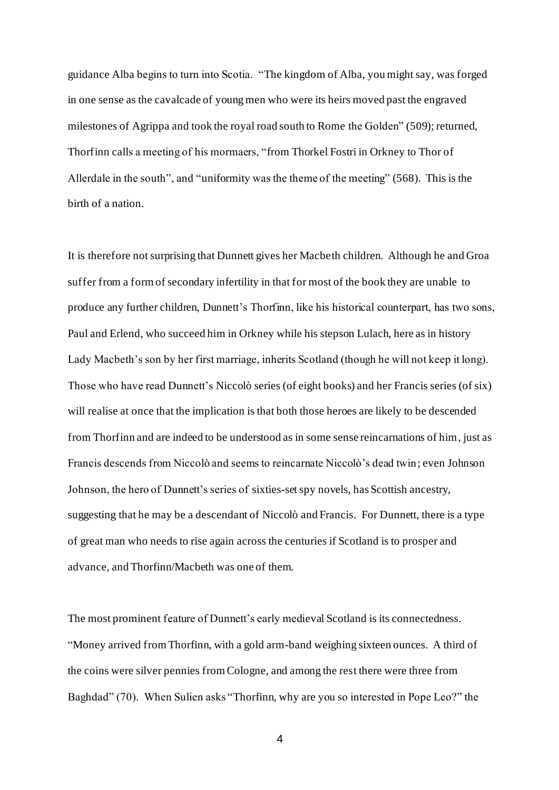guidance Alba begins to turn into Scotia. "The kingdom of Alba, you might say, was forged in one sense as the cavalcade of young men who were its heirs moved past the engraved milestones of Agrippa and took the royal road south to Rome the Golden" (509); returned, Thorfinn calls a meeting of his mormaers, "from Thorkel Fostri in Orkney to Thor of Allerdale in the south", and "uniformity was the theme of the meeting" (568). This is the birth of a nation.

It is therefore not surprising that Dunnett gives her Macbeth children. Although he and Groa suffer from a form of secondary infertility in that for most of the book they are unable to produce any further children, Dunnett's Thorfinn, like his historical counterpart, has two sons, Paul and Erlend, who succeed him in Orkney while his stepson Lulach, here as in history Lady Macbeth's son by her first marriage, inherits Scotland (though he will not keep it long). Those who have read Dunnett's Niccolò series (of eight books) and her Francis series (of six) will realise at once that the implication is that both those heroes are likely to be descended from Thorfinn and are indeed to be understood as in some sense reincarnations of him, just as Francis descends from Niccolò and seems to reincarnate Niccolò's dead twin; even Johnson Johnson, the hero of Dunnett's series of sixties-set spy novels, has Scottish ancestry, suggesting that he may be a descendant of Niccolò and Francis. For Dunnett, there is a type of great man who needs to rise again across the centuries if Scotland is to prosper and advance, and Thorfinn/Macbeth was one of them.

The most prominent feature of Dunnett's early medieval Scotland is its connectedness. "Money arrived from Thorfinn, with a gold arm-band weighing sixteen ounces. A third of the coins were silver pennies from Cologne, and among the rest there were three from Baghdad" (70). When Sulien asks "Thorfinn, why are you so interested in Pope Leo?" the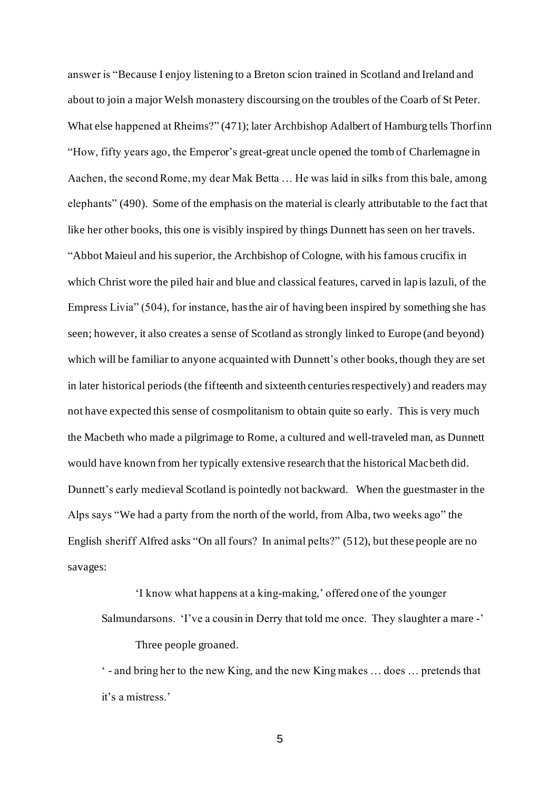answer is "Because I enjoy listening to a Breton scion trained in Scotland and Ireland and about to join a major Welsh monastery discoursing on the troubles of the Coarb of St Peter. What else happened at Rheims?" (471); later Archbishop Adalbert of Hamburg tells Thorfinn "How, fifty years ago, the Emperor's great-great uncle opened the tomb of Charlemagne in Aachen, the second Rome, my dear Mak Betta … He was laid in silks from this bale, among elephants" (490). Some of the emphasis on the material is clearly attributable to the fact that like her other books, this one is visibly inspired by things Dunnett has seen on her travels. "Abbot Maieul and his superior, the Archbishop of Cologne, with his famous crucifix in which Christ wore the piled hair and blue and classical features, carved in lapis lazuli, of the Empress Livia" (504), for instance, has the air of having been inspired by something she has seen; however, it also creates a sense of Scotland as strongly linked to Europe (and beyond) which will be familiar to anyone acquainted with Dunnett's other books, though they are set in later historical periods (the fifteenth and sixteenth centuries respectively) and readers may not have expected this sense of cosmpolitanism to obtain quite so early. This is very much the Macbeth who made a pilgrimage to Rome, a cultured and well-traveled man, as Dunnett would have known from her typically extensive research that the historical Macbeth did. Dunnett's early medieval Scotland is pointedly not backward. When the guestmaster in the Alps says "We had a party from the north of the world, from Alba, two weeks ago" the English sheriff Alfred asks "On all fours? In animal pelts?" (512), but these people are no savages:

'I know what happens at a king-making,' offered one of the younger Salmundarsons. 'I've a cousin in Derry that told me once. They slaughter a mare -' Three people groaned.

' - and bring her to the new King, and the new King makes … does … pretends that it's a mistress.'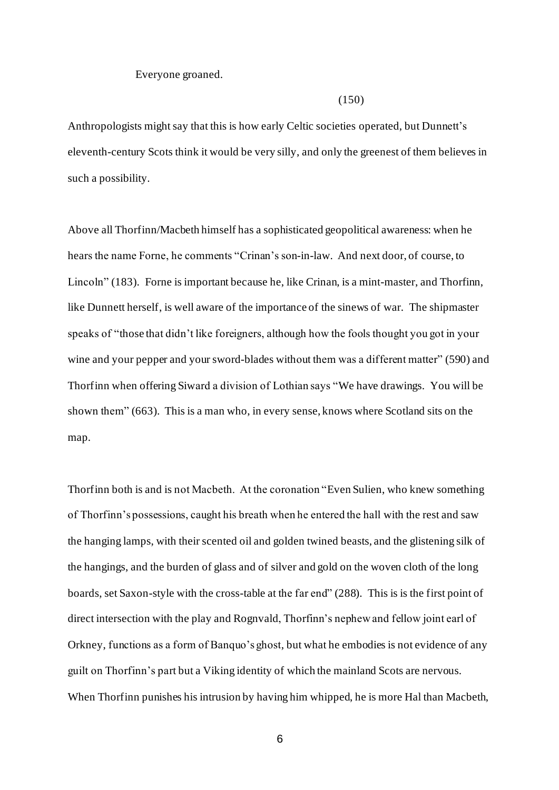Everyone groaned.

(150)

Anthropologists might say that this is how early Celtic societies operated, but Dunnett's eleventh-century Scots think it would be very silly, and only the greenest of them believes in such a possibility.

Above all Thorfinn/Macbeth himself has a sophisticated geopolitical awareness: when he hears the name Forne, he comments "Crinan's son-in-law. And next door, of course, to Lincoln" (183). Forne is important because he, like Crinan, is a mint-master, and Thorfinn, like Dunnett herself, is well aware of the importance of the sinews of war. The shipmaster speaks of "those that didn't like foreigners, although how the fools thought you got in your wine and your pepper and your sword-blades without them was a different matter" (590) and Thorfinn when offering Siward a division of Lothian says "We have drawings. You will be shown them" (663). This is a man who, in every sense, knows where Scotland sits on the map.

Thorfinn both is and is not Macbeth. At the coronation "Even Sulien, who knew something of Thorfinn's possessions, caught his breath when he entered the hall with the rest and saw the hanging lamps, with their scented oil and golden twined beasts, and the glistening silk of the hangings, and the burden of glass and of silver and gold on the woven cloth of the long boards, set Saxon-style with the cross-table at the far end" (288). This is is the first point of direct intersection with the play and Rognvald, Thorfinn's nephew and fellow joint earl of Orkney, functions as a form of Banquo's ghost, but what he embodies is not evidence of any guilt on Thorfinn's part but a Viking identity of which the mainland Scots are nervous. When Thorfinn punishes his intrusion by having him whipped, he is more Hal than Macbeth,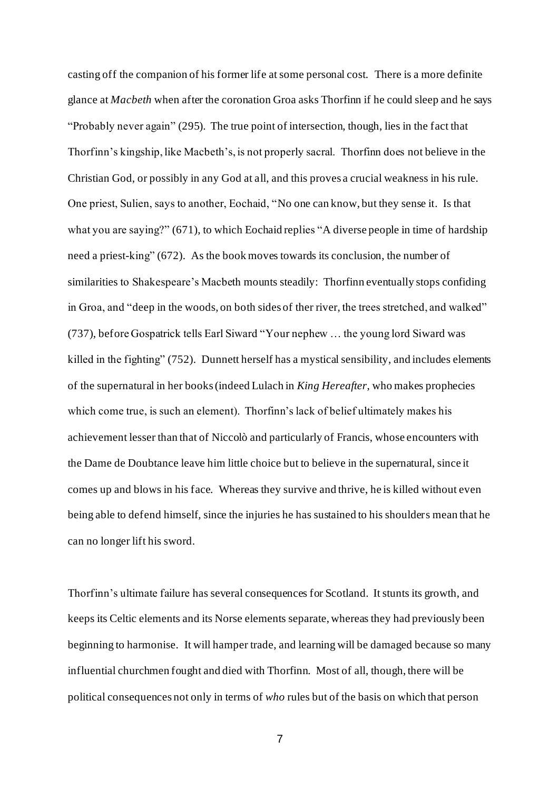casting off the companion of his former life at some personal cost. There is a more definite glance at *Macbeth* when after the coronation Groa asks Thorfinn if he could sleep and he says "Probably never again" (295). The true point of intersection, though, lies in the fact that Thorfinn's kingship, like Macbeth's, is not properly sacral. Thorfinn does not believe in the Christian God, or possibly in any God at all, and this proves a crucial weakness in his rule. One priest, Sulien, says to another, Eochaid, "No one can know, but they sense it. Is that what you are saying?" (671), to which Eochaid replies "A diverse people in time of hardship need a priest-king" (672). As the book moves towards its conclusion, the number of similarities to Shakespeare's Macbeth mounts steadily: Thorfinn eventually stops confiding in Groa, and "deep in the woods, on both sides of ther river, the trees stretched, and walked" (737), before Gospatrick tells Earl Siward "Your nephew … the young lord Siward was killed in the fighting" (752). Dunnett herself has a mystical sensibility, and includes elements of the supernatural in her books (indeed Lulach in *King Hereafter*, who makes prophecies which come true, is such an element). Thorfinn's lack of belief ultimately makes his achievement lesser than that of Niccolò and particularly of Francis, whose encounters with the Dame de Doubtance leave him little choice but to believe in the supernatural, since it comes up and blows in his face. Whereas they survive and thrive, he is killed without even being able to defend himself, since the injuries he has sustained to his shoulders mean that he can no longer lift his sword.

Thorfinn's ultimate failure has several consequences for Scotland. It stunts its growth, and keeps its Celtic elements and its Norse elements separate, whereas they had previously been beginning to harmonise. It will hamper trade, and learning will be damaged because so many influential churchmen fought and died with Thorfinn. Most of all, though, there will be political consequences not only in terms of *who* rules but of the basis on which that person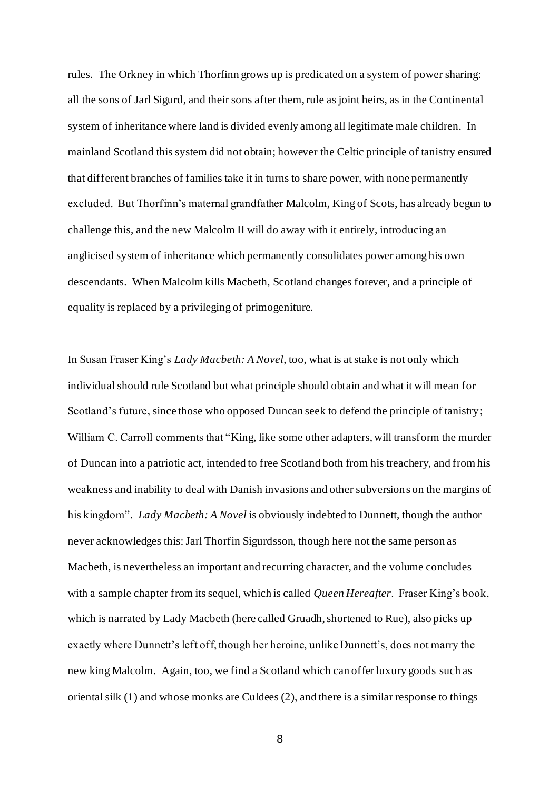rules. The Orkney in which Thorfinn grows up is predicated on a system of power sharing: all the sons of Jarl Sigurd, and their sons after them, rule as joint heirs, as in the Continental system of inheritance where land is divided evenly among all legitimate male children. In mainland Scotland this system did not obtain; however the Celtic principle of tanistry ensured that different branches of families take it in turns to share power, with none permanently excluded. But Thorfinn's maternal grandfather Malcolm, King of Scots, has already begun to challenge this, and the new Malcolm II will do away with it entirely, introducing an anglicised system of inheritance which permanently consolidates power among his own descendants. When Malcolm kills Macbeth, Scotland changes forever, and a principle of equality is replaced by a privileging of primogeniture.

In Susan Fraser King's *Lady Macbeth: A Novel*, too, what is at stake is not only which individual should rule Scotland but what principle should obtain and what it will mean for Scotland's future, since those who opposed Duncan seek to defend the principle of tanistry; William C. Carroll comments that "King, like some other adapters, will transform the murder of Duncan into a patriotic act, intended to free Scotland both from his treachery, and from his weakness and inability to deal with Danish invasions and other subversions on the margins of his kingdom". *Lady Macbeth: A Novel* is obviously indebted to Dunnett, though the author never acknowledges this: Jarl Thorfin Sigurdsson, though here not the same person as Macbeth, is nevertheless an important and recurring character, and the volume concludes with a sample chapter from its sequel, which is called *Queen Hereafter*. Fraser King's book, which is narrated by Lady Macbeth (here called Gruadh, shortened to Rue), also picks up exactly where Dunnett's left off, though her heroine, unlike Dunnett's, does not marry the new king Malcolm. Again, too, we find a Scotland which can offer luxury goods such as oriental silk (1) and whose monks are Culdees (2), and there is a similar response to things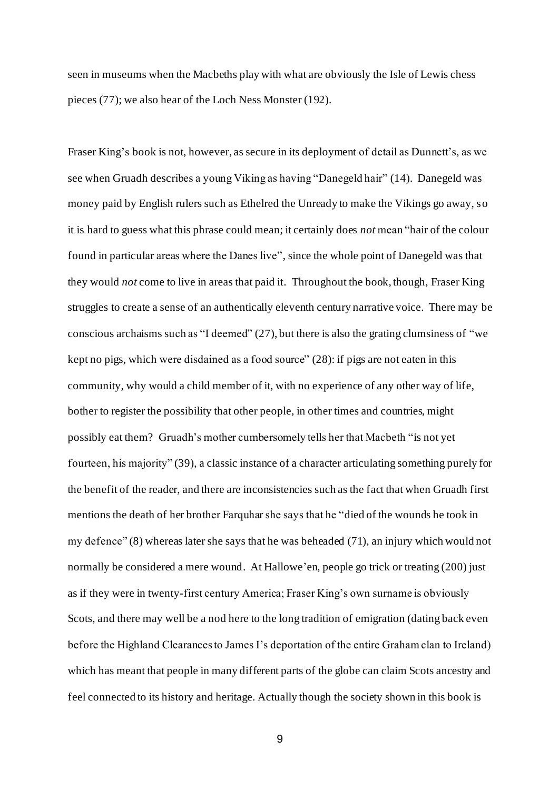seen in museums when the Macbeths play with what are obviously the Isle of Lewis chess pieces (77); we also hear of the Loch Ness Monster (192).

Fraser King's book is not, however, as secure in its deployment of detail as Dunnett's, as we see when Gruadh describes a young Viking as having "Danegeld hair" (14). Danegeld was money paid by English rulers such as Ethelred the Unready to make the Vikings go away, so it is hard to guess what this phrase could mean; it certainly does *not* mean "hair of the colour found in particular areas where the Danes live", since the whole point of Danegeld was that they would *not* come to live in areas that paid it. Throughout the book, though, Fraser King struggles to create a sense of an authentically eleventh century narrative voice. There may be conscious archaisms such as "I deemed" (27), but there is also the grating clumsiness of "we kept no pigs, which were disdained as a food source" (28): if pigs are not eaten in this community, why would a child member of it, with no experience of any other way of life, bother to register the possibility that other people, in other times and countries, might possibly eat them? Gruadh's mother cumbersomely tells her that Macbeth "is not yet fourteen, his majority" (39), a classic instance of a character articulating something purely for the benefit of the reader, and there are inconsistencies such as the fact that when Gruadh first mentions the death of her brother Farquhar she says that he "died of the wounds he took in my defence" (8) whereas later she says that he was beheaded (71), an injury which would not normally be considered a mere wound. At Hallowe'en, people go trick or treating (200) just as if they were in twenty-first century America; Fraser King's own surname is obviously Scots, and there may well be a nod here to the long tradition of emigration (dating back even before the Highland Clearances to James I's deportation of the entire Graham clan to Ireland) which has meant that people in many different parts of the globe can claim Scots ancestry and feel connected to its history and heritage. Actually though the society shown in this book is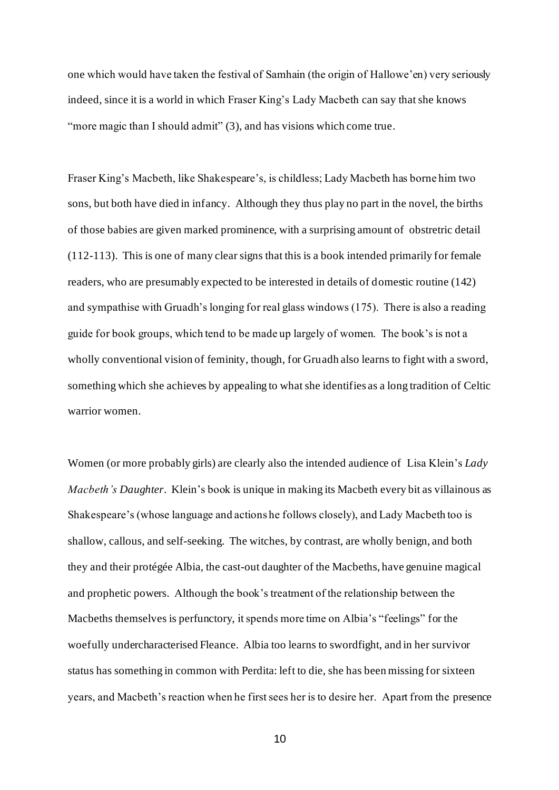one which would have taken the festival of Samhain (the origin of Hallowe'en) very seriously indeed, since it is a world in which Fraser King's Lady Macbeth can say that she knows "more magic than I should admit" (3), and has visions which come true.

Fraser King's Macbeth, like Shakespeare's, is childless; Lady Macbeth has borne him two sons, but both have died in infancy. Although they thus play no part in the novel, the births of those babies are given marked prominence, with a surprising amount of obstretric detail (112-113). This is one of many clear signs that this is a book intended primarily for female readers, who are presumably expected to be interested in details of domestic routine (142) and sympathise with Gruadh's longing for real glass windows (175). There is also a reading guide for book groups, which tend to be made up largely of women. The book's is not a wholly conventional vision of feminity, though, for Gruadh also learns to fight with a sword, something which she achieves by appealing to what she identifies as a long tradition of Celtic warrior women.

Women (or more probably girls) are clearly also the intended audience of Lisa Klein's *Lady Macbeth's Daughter*. Klein's book is unique in making its Macbeth every bit as villainous as Shakespeare's (whose language and actions he follows closely), and Lady Macbeth too is shallow, callous, and self-seeking. The witches, by contrast, are wholly benign, and both they and their protégée Albia, the cast-out daughter of the Macbeths, have genuine magical and prophetic powers. Although the book's treatment of the relationship between the Macbeths themselves is perfunctory, it spends more time on Albia's "feelings" for the woefully undercharacterised Fleance. Albia too learns to swordfight, and in her survivor status has something in common with Perdita: left to die, she has been missing for sixteen years, and Macbeth's reaction when he first sees her is to desire her. Apart from the presence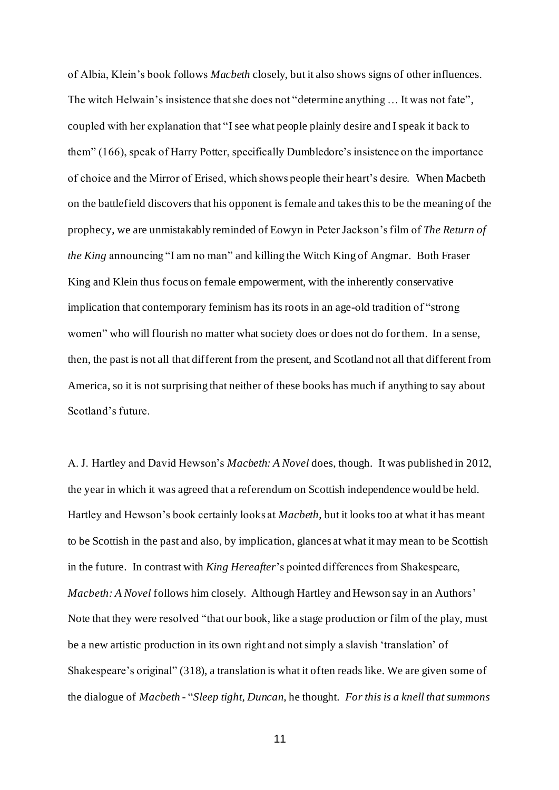of Albia, Klein's book follows *Macbeth* closely, but it also shows signs of other influences. The witch Helwain's insistence that she does not "determine anything … It was not fate", coupled with her explanation that "I see what people plainly desire and I speak it back to them" (166), speak of Harry Potter, specifically Dumbledore's insistence on the importance of choice and the Mirror of Erised, which shows people their heart's desire. When Macbeth on the battlefield discovers that his opponent is female and takes this to be the meaning of the prophecy, we are unmistakably reminded of Eowyn in Peter Jackson's film of *The Return of the King* announcing "I am no man" and killing the Witch King of Angmar. Both Fraser King and Klein thus focus on female empowerment, with the inherently conservative implication that contemporary feminism has its roots in an age-old tradition of "strong women" who will flourish no matter what society does or does not do for them. In a sense, then, the past is not all that different from the present, and Scotland not all that different from America, so it is not surprising that neither of these books has much if anything to say about Scotland's future.

A. J. Hartley and David Hewson's *Macbeth: A Novel* does, though. It was published in 2012, the year in which it was agreed that a referendum on Scottish independence would be held. Hartley and Hewson's book certainly looks at *Macbeth*, but it looks too at what it has meant to be Scottish in the past and also, by implication, glances at what it may mean to be Scottish in the future. In contrast with *King Hereafter*'s pointed differences from Shakespeare, *Macbeth: A Novel* follows him closely. Although Hartley and Hewson say in an Authors' Note that they were resolved "that our book, like a stage production or film of the play, must be a new artistic production in its own right and not simply a slavish 'translation' of Shakespeare's original" (318), a translation is what it often reads like. We are given some of the dialogue of *Macbeth* - "*Sleep tight, Duncan*, he thought. *For this is a knell that summons*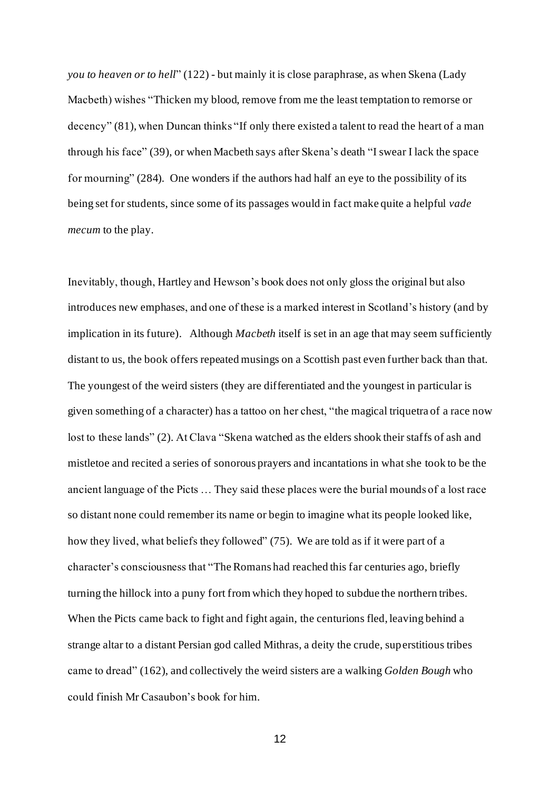*you to heaven or to hell*" (122) - but mainly it is close paraphrase, as when Skena (Lady Macbeth) wishes "Thicken my blood, remove from me the least temptation to remorse or decency" (81), when Duncan thinks "If only there existed a talent to read the heart of a man through his face" (39), or when Macbeth says after Skena's death "I swear I lack the space for mourning" (284). One wonders if the authors had half an eye to the possibility of its being set for students, since some of its passages would in fact make quite a helpful *vade mecum* to the play.

Inevitably, though, Hartley and Hewson's book does not only gloss the original but also introduces new emphases, and one of these is a marked interest in Scotland's history (and by implication in its future). Although *Macbeth* itself is set in an age that may seem sufficiently distant to us, the book offers repeated musings on a Scottish past even further back than that. The youngest of the weird sisters (they are differentiated and the youngest in particular is given something of a character) has a tattoo on her chest, "the magical triquetra of a race now lost to these lands" (2). At Clava "Skena watched as the elders shook their staffs of ash and mistletoe and recited a series of sonorous prayers and incantations in what she took to be the ancient language of the Picts … They said these places were the burial mounds of a lost race so distant none could remember its name or begin to imagine what its people looked like, how they lived, what beliefs they followed" (75). We are told as if it were part of a character's consciousness that "The Romans had reached this far centuries ago, briefly turning the hillock into a puny fort from which they hoped to subdue the northern tribes. When the Picts came back to fight and fight again, the centurions fled, leaving behind a strange altar to a distant Persian god called Mithras, a deity the crude, superstitious tribes came to dread" (162), and collectively the weird sisters are a walking *Golden Bough* who could finish Mr Casaubon's book for him.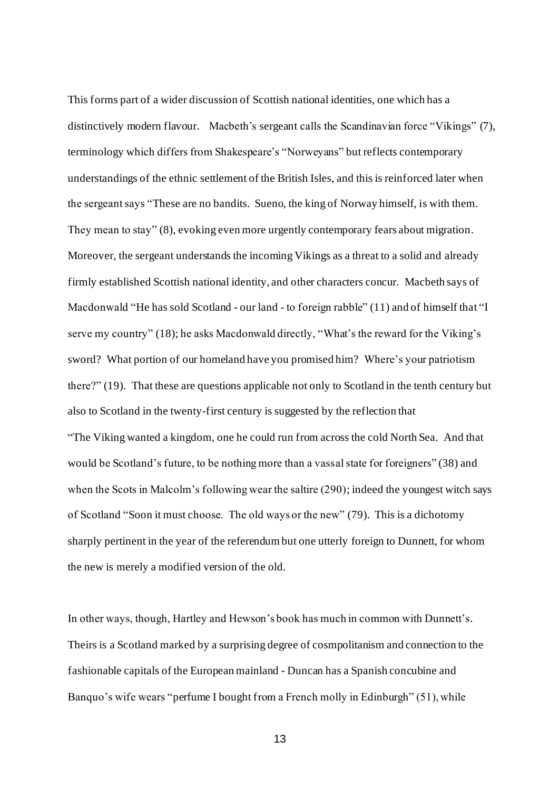This forms part of a wider discussion of Scottish national identities, one which has a distinctively modern flavour. Macbeth's sergeant calls the Scandinavian force "Vikings" (7), terminology which differs from Shakespeare's "Norweyans" but reflects contemporary understandings of the ethnic settlement of the British Isles, and this is reinforced later when the sergeant says "These are no bandits. Sueno, the king of Norway himself, is with them. They mean to stay" (8), evoking even more urgently contemporary fears about migration. Moreover, the sergeant understands the incoming Vikings as a threat to a solid and already firmly established Scottish national identity, and other characters concur. Macbeth says of Macdonwald "He has sold Scotland - our land - to foreign rabble" (11) and of himself that "I serve my country" (18); he asks Macdonwald directly, "What's the reward for the Viking's sword? What portion of our homeland have you promised him? Where's your patriotism there?" (19). That these are questions applicable not only to Scotland in the tenth century but also to Scotland in the twenty-first century is suggested by the reflection that "The Viking wanted a kingdom, one he could run from across the cold North Sea. And that would be Scotland's future, to be nothing more than a vassal state for foreigners" (38) and when the Scots in Malcolm's following wear the saltire (290); indeed the youngest witch says of Scotland "Soon it must choose. The old ways or the new" (79). This is a dichotomy sharply pertinent in the year of the referendum but one utterly foreign to Dunnett, for whom the new is merely a modified version of the old.

In other ways, though, Hartley and Hewson's book has much in common with Dunnett's. Theirs is a Scotland marked by a surprising degree of cosmpolitanism and connection to the fashionable capitals of the European mainland - Duncan has a Spanish concubine and Banquo's wife wears "perfume I bought from a French molly in Edinburgh" (51), while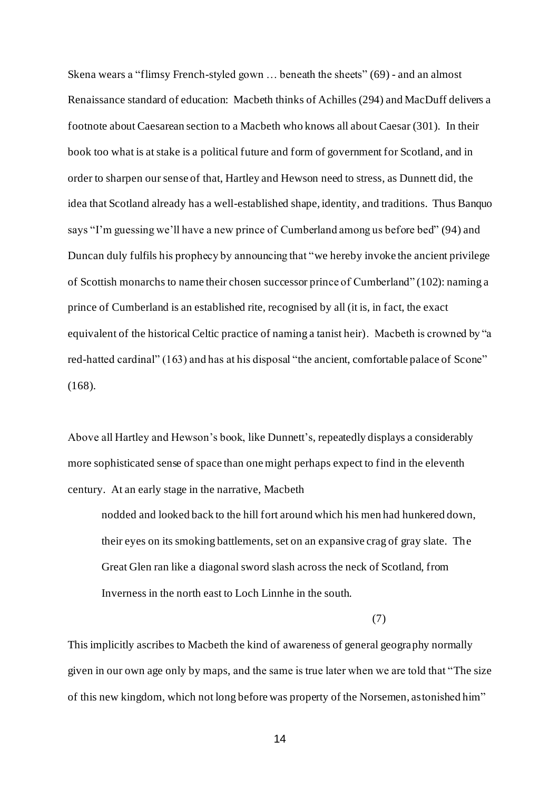Skena wears a "flimsy French-styled gown … beneath the sheets" (69) - and an almost Renaissance standard of education: Macbeth thinks of Achilles (294) and MacDuff delivers a footnote about Caesarean section to a Macbeth who knows all about Caesar (301). In their book too what is at stake is a political future and form of government for Scotland, and in order to sharpen our sense of that, Hartley and Hewson need to stress, as Dunnett did, the idea that Scotland already has a well-established shape, identity, and traditions. Thus Banquo says "I'm guessing we'll have a new prince of Cumberland among us before bed" (94) and Duncan duly fulfils his prophecy by announcing that "we hereby invoke the ancient privilege of Scottish monarchs to name their chosen successor prince of Cumberland" (102): naming a prince of Cumberland is an established rite, recognised by all (it is, in fact, the exact equivalent of the historical Celtic practice of naming a tanist heir). Macbeth is crowned by "a red-hatted cardinal" (163) and has at his disposal "the ancient, comfortable palace of Scone" (168).

Above all Hartley and Hewson's book, like Dunnett's, repeatedly displays a considerably more sophisticated sense of space than one might perhaps expect to find in the eleventh century. At an early stage in the narrative, Macbeth

nodded and looked back to the hill fort around which his men had hunkered down, their eyes on its smoking battlements, set on an expansive crag of gray slate. The Great Glen ran like a diagonal sword slash across the neck of Scotland, from Inverness in the north east to Loch Linnhe in the south.

(7)

This implicitly ascribes to Macbeth the kind of awareness of general geography normally given in our own age only by maps, and the same is true later when we are told that "The size of this new kingdom, which not long before was property of the Norsemen, astonished him"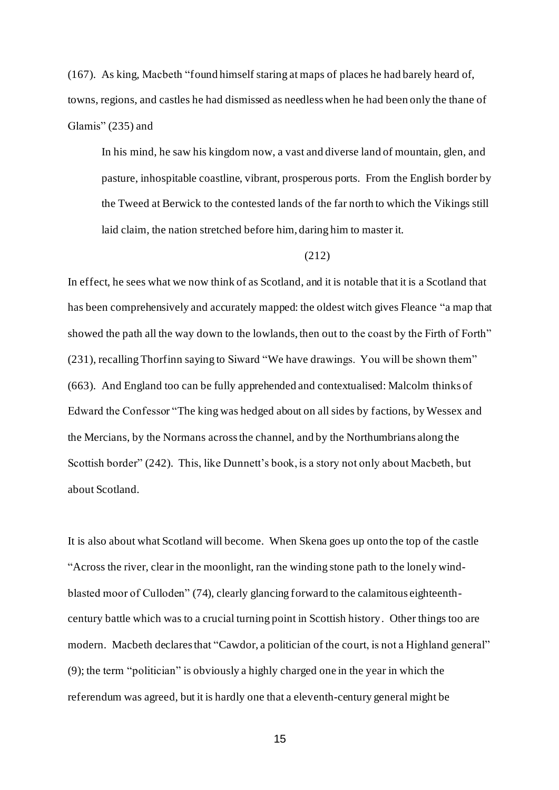(167). As king, Macbeth "found himself staring at maps of places he had barely heard of, towns, regions, and castles he had dismissed as needless when he had been only the thane of Glamis" (235) and

In his mind, he saw his kingdom now, a vast and diverse land of mountain, glen, and pasture, inhospitable coastline, vibrant, prosperous ports. From the English border by the Tweed at Berwick to the contested lands of the far north to which the Vikings still laid claim, the nation stretched before him, daring him to master it.

#### (212)

In effect, he sees what we now think of as Scotland, and it is notable that it is a Scotland that has been comprehensively and accurately mapped: the oldest witch gives Fleance "a map that showed the path all the way down to the lowlands, then out to the coast by the Firth of Forth" (231), recalling Thorfinn saying to Siward "We have drawings. You will be shown them" (663). And England too can be fully apprehended and contextualised: Malcolm thinks of Edward the Confessor "The king was hedged about on all sides by factions, by Wessex and the Mercians, by the Normans across the channel, and by the Northumbrians along the Scottish border" (242). This, like Dunnett's book, is a story not only about Macbeth, but about Scotland.

It is also about what Scotland will become. When Skena goes up onto the top of the castle "Across the river, clear in the moonlight, ran the winding stone path to the lonely windblasted moor of Culloden" (74), clearly glancing forward to the calamitous eighteenthcentury battle which was to a crucial turning point in Scottish history. Other things too are modern. Macbeth declares that "Cawdor, a politician of the court, is not a Highland general" (9); the term "politician" is obviously a highly charged one in the year in which the referendum was agreed, but it is hardly one that a eleventh-century general might be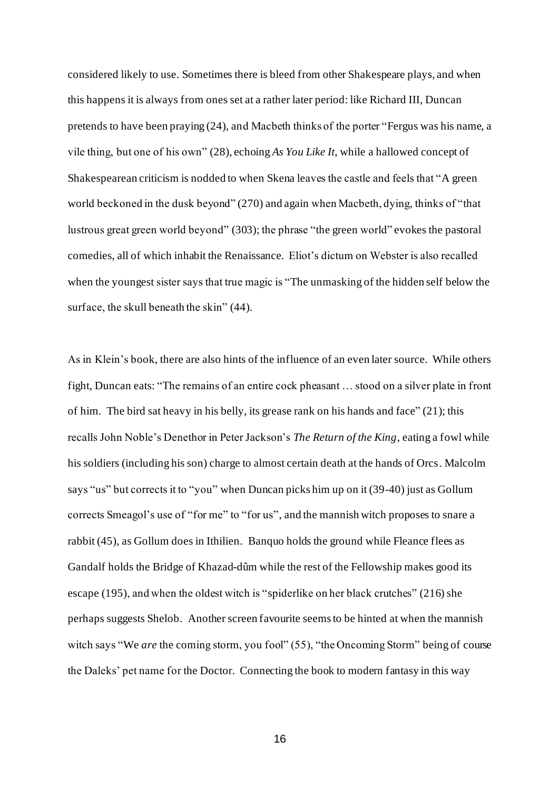considered likely to use. Sometimes there is bleed from other Shakespeare plays, and when this happens it is always from ones set at a rather later period: like Richard III, Duncan pretends to have been praying (24), and Macbeth thinks of the porter "Fergus was his name, a vile thing, but one of his own" (28), echoing *As You Like It*, while a hallowed concept of Shakespearean criticism is nodded to when Skena leaves the castle and feels that "A green world beckoned in the dusk beyond" (270) and again when Macbeth, dying, thinks of "that lustrous great green world beyond" (303); the phrase "the green world" evokes the pastoral comedies, all of which inhabit the Renaissance. Eliot's dictum on Webster is also recalled when the youngest sister says that true magic is "The unmasking of the hidden self below the surface, the skull beneath the skin" (44).

As in Klein's book, there are also hints of the influence of an even later source. While others fight, Duncan eats: "The remains of an entire cock pheasant … stood on a silver plate in front of him. The bird sat heavy in his belly, its grease rank on his hands and face" (21); this recalls John Noble's Denethor in Peter Jackson's *The Return of the King*, eating a fowl while his soldiers (including his son) charge to almost certain death at the hands of Orcs. Malcolm says "us" but corrects it to "you" when Duncan picks him up on it (39-40) just as Gollum corrects Smeagol's use of "for me" to "for us", and the mannish witch proposes to snare a rabbit (45), as Gollum does in Ithilien. Banquo holds the ground while Fleance flees as Gandalf holds the Bridge of Khazad-dûm while the rest of the Fellowship makes good its escape (195), and when the oldest witch is "spiderlike on her black crutches" (216) she perhaps suggests Shelob. Another screen favourite seems to be hinted at when the mannish witch says "We *are* the coming storm, you fool" (55), "the Oncoming Storm" being of course the Daleks' pet name for the Doctor. Connecting the book to modern fantasy in this way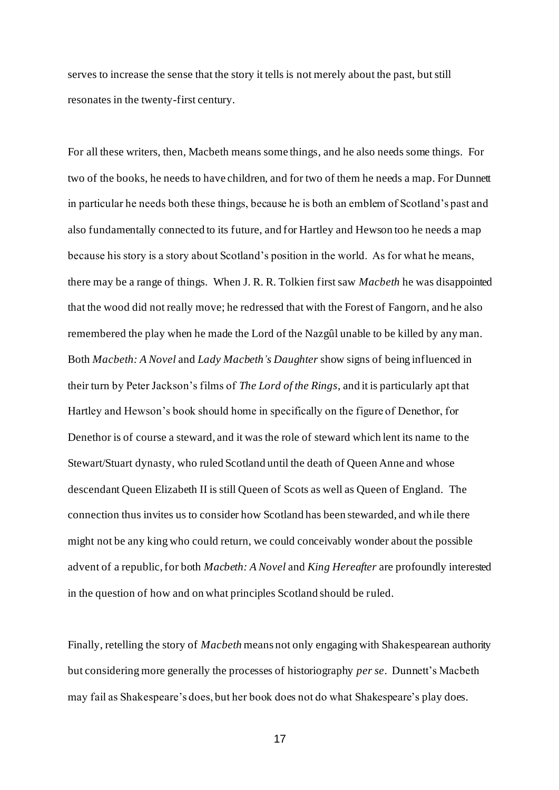serves to increase the sense that the story it tells is not merely about the past, but still resonates in the twenty-first century.

For all these writers, then, Macbeth means some things, and he also needs some things. For two of the books, he needs to have children, and for two of them he needs a map. For Dunnett in particular he needs both these things, because he is both an emblem of Scotland's past and also fundamentally connected to its future, and for Hartley and Hewson too he needs a map because his story is a story about Scotland's position in the world. As for what he means, there may be a range of things. When J. R. R. Tolkien first saw *Macbeth* he was disappointed that the wood did not really move; he redressed that with the Forest of Fangorn, and he also remembered the play when he made the Lord of the Nazgûl unable to be killed by any man. Both *Macbeth: A Novel* and *Lady Macbeth's Daughter* show signs of being influenced in their turn by Peter Jackson's films of *The Lord of the Rings*, and it is particularly apt that Hartley and Hewson's book should home in specifically on the figure of Denethor, for Denethor is of course a steward, and it was the role of steward which lent its name to the Stewart/Stuart dynasty, who ruled Scotland until the death of Queen Anne and whose descendant Queen Elizabeth II is still Queen of Scots as well as Queen of England. The connection thus invites us to consider how Scotland has been stewarded, and while there might not be any king who could return, we could conceivably wonder about the possible advent of a republic, for both *Macbeth: A Novel* and *King Hereafter* are profoundly interested in the question of how and on what principles Scotland should be ruled.

Finally, retelling the story of *Macbeth* means not only engaging with Shakespearean authority but considering more generally the processes of historiography *per se*. Dunnett's Macbeth may fail as Shakespeare's does, but her book does not do what Shakespeare's play does.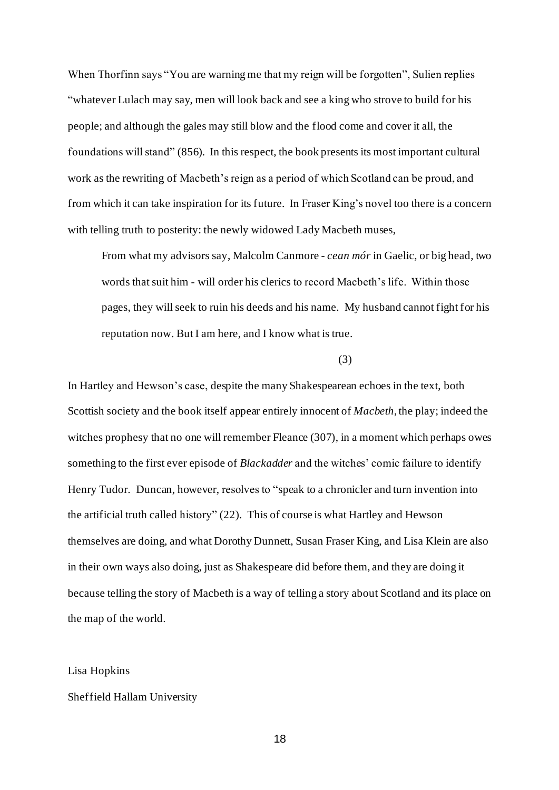When Thorfinn says "You are warning me that my reign will be forgotten", Sulien replies "whatever Lulach may say, men will look back and see a king who strove to build for his people; and although the gales may still blow and the flood come and cover it all, the foundations will stand" (856). In this respect, the book presents its most important cultural work as the rewriting of Macbeth's reign as a period of which Scotland can be proud, and from which it can take inspiration for its future. In Fraser King's novel too there is a concern with telling truth to posterity: the newly widowed Lady Macbeth muses,

From what my advisors say, Malcolm Canmore - *cean mór* in Gaelic, or big head, two words that suit him - will order his clerics to record Macbeth's life. Within those pages, they will seek to ruin his deeds and his name. My husband cannot fight for his reputation now. But I am here, and I know what is true.

(3)

In Hartley and Hewson's case, despite the many Shakespearean echoes in the text, both Scottish society and the book itself appear entirely innocent of *Macbeth*, the play; indeed the witches prophesy that no one will remember Fleance (307), in a moment which perhaps owes something to the first ever episode of *Blackadder* and the witches' comic failure to identify Henry Tudor. Duncan, however, resolves to "speak to a chronicler and turn invention into the artificial truth called history" (22). This of course is what Hartley and Hewson themselves are doing, and what Dorothy Dunnett, Susan Fraser King, and Lisa Klein are also in their own ways also doing, just as Shakespeare did before them, and they are doing it because telling the story of Macbeth is a way of telling a story about Scotland and its place on the map of the world.

#### Lisa Hopkins

#### Sheffield Hallam University